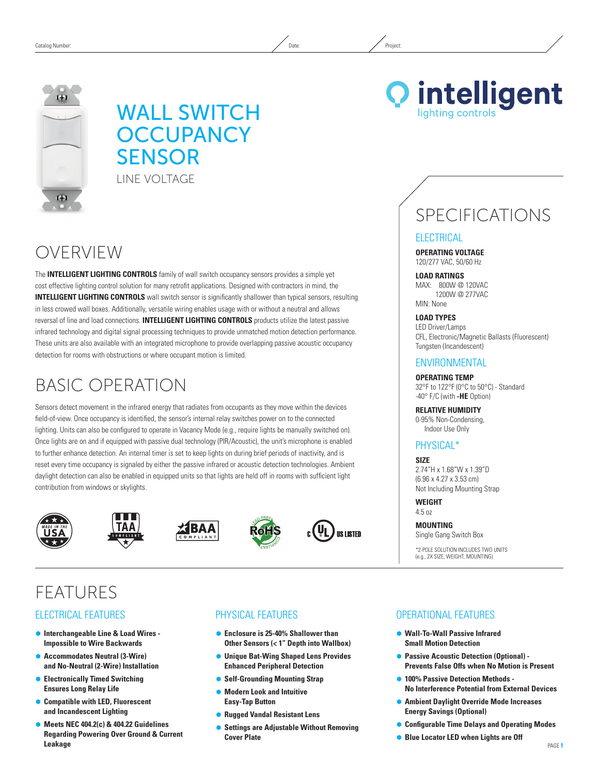# WALL SWITCH **OCCUPANCY SENSOR** LINE VOLTAGE

# OVERVIEW

The **INTELLIGENT LIGHTING CONTROLS** family of wall switch occupancy sensors provides a simple yet cost effective lighting control solution for many retrofit applications. Designed with contractors in mind, the **INTELLIGENT LIGHTING CONTROLS** wall switch sensor is significantly shallower than typical sensors, resulting in less crowed wall boxes. Additionally, versatile wiring enables usage with or without a neutral and allows reversal of line and load connections. **INTELLIGENT LIGHTING CONTROLS** products utilize the latest passive infrared technology and digital signal processing techniques to provide unmatched motion detection performance. These units are also available with an integrated microphone to provide overlapping passive acoustic occupancy detection for rooms with obstructions or where occupant motion is limited.

# Basic Operation

Sensors detect movement in the infrared energy that radiates from occupants as they move within the devices field-of-view. Once occupancy is identified, the sensor's internal relay switches power on to the connected lighting. Units can also be configured to operate in Vacancy Mode (e.g., require lights be manually switched on). Once lights are on and if equipped with passive dual technology (PIR/Acoustic), the unit's microphone is enabled to further enhance detection. An internal timer is set to keep lights on during brief periods of inactivity, and is reset every time occupancy is signaled by either the passive infrared or acoustic detection technologies. Ambient daylight detection can also be enabled in equipped units so that lights are held off in rooms with sufficient light contribution from windows or skylights.











# **FFATURES**

## Electrical Features

- Ã **Interchangeable Line & Load Wires Impossible to Wire Backwards**
- Ã **Accommodates Neutral (3-Wire) and No-Neutral (2-Wire) Installation**
- Ã **Electronically Timed Switching Ensures Long Relay Life**
- Ã **Compatible with LED, Fluorescent and Incandescent Lighting**
- Ã **Meets NEC 404.2(c) & 404.22 Guidelines Regarding Powering Over Ground & Current Leakage**

# Physical Features

- Enclosure is 25-40% Shallower than **Other Sensors (< 1" Depth into Wallbox)**
- Ã **Unique Bat-Wing Shaped Lens Provides Enhanced Peripheral Detection**
- **Self-Grounding Mounting Strap**
- Ã **Modern Look and Intuitive Easy-Tap Button**
- Ã **Rugged Vandal Resistant Lens**
- Ã **Settings are Adjustable Without Removing Cover Plate**



# SPECIFICATIONS

### **ELECTRICAL**

**Operating Voltage** 120/277 VAC, 50/60 Hz

**Load ratings** MAX: 800W @ 120VAC 1200W @ 277VAC MIN: None

### **Load Types**

LED Driver/Lamps CFL, Electronic/Magnetic Ballasts (Fluorescent) Tungsten (Incandescent)

### **ENVIRONMENTAL**

**Operating Temp** 32°F to 122°F (0°C to 50°C) - Standard -40° F/C (with **-HE** Option)

**Relative Humidity** 0-95% Non-Condensing, Indoor Use Only

# Physical\*

**Size** 2.74"H x 1.68"W x 1.39"D (6.96 x 4.27 x 3.53 cm) Not Including Mounting Strap

**Weight** 4.5 oz

**Mounting** Single Gang Switch Box

\*2-pole solution includes two units (e.g., 2x size, weight, mounting)

## Operational Features

- Ã **Wall-To-Wall Passive Infrared Small Motion Detection**
- **Passive Acoustic Detection (Optional) -Prevents False Offs when No Motion is Present**
- $\bullet$  **100% Passive Detection Methods -No Interference Potential from External Devices**
- Ã **Ambient Daylight Override Mode Increases Energy Savings (Optional)**
- Ã **Configurable Time Delays and Operating Modes**
- **Blue Locator LED when Lights are Off**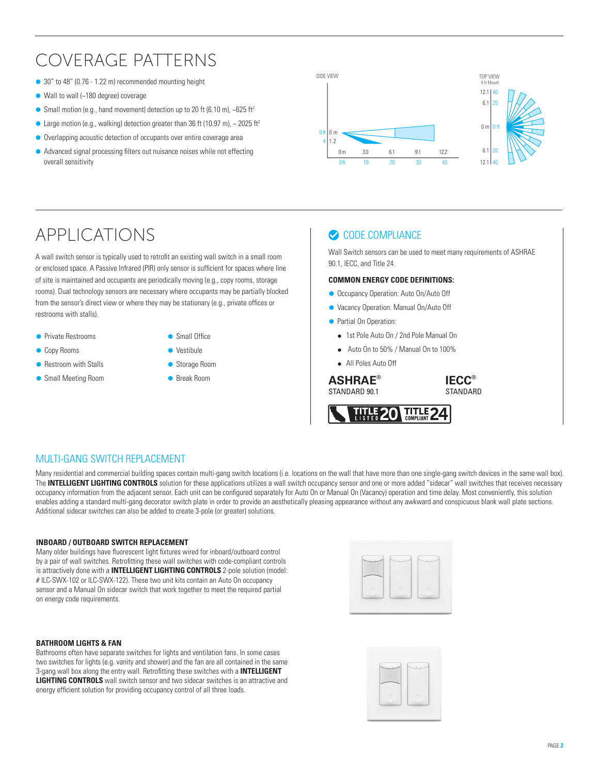# Coverage Patterns

- 30" to 48" (0.76 1.22 m) recommended mounting height
- $\bullet$  Wall to wall (~180 degree) coverage
- $\bullet$  Small motion (e.g., hand movement) detection up to 20 ft (6.10 m), ~625 ft<sup>2</sup>
- $\bullet$  Large motion (e.g., walking) detection greater than 36 ft (10.97 m),  $\sim$  2025 ft<sup>2</sup>
- Overlapping acoustic detection of occupants over entire coverage area
- Ã Advanced signal processing filters out nuisance noises while not effecting overall sensitivity



# APPLICATIONS

A wall switch sensor is typically used to retrofit an existing wall switch in a small room or enclosed space. A Passive Infrared (PIR) only sensor is sufficient for spaces where line of site is maintained and occupants are periodically moving (e.g., copy rooms, storage rooms). Dual technology sensors are necessary where occupants may be partially blocked from the sensor's direct view or where they may be stationary (e.g., private offices or restrooms with stalls).

**• Private Restrooms** 

**Copy Rooms** 

- **Small Office**
- 
- **Restroom with Stalls**
- Small Meeting Room
- Vestibule
- Storage Room
- 

# CODE COMPLIANCE

Wall Switch sensors can be used to meet many requirements of ASHRAE 90.1, IECC, and Title 24.

### **Common Energy Code Definitions:**

- **Occupancy Operation: Auto On/Auto Off**
- Ã Vacancy Operation: Manual On/Auto Off
- **Partial On Operation:** 
	- 1st Pole Auto On / 2nd Pole Manual On
	- Auto On to 50% / Manual On to 100%

**TITLE** 

• All Poles Auto Off

**a** Break Room **ASHRAE®** STANDARD 90.1

**IECC® STANDARD** 



Many residential and commercial building spaces contain multi-gang switch locations (i.e. locations on the wall that have more than one single-gang switch devices in the same wall box). The **INTELLIGENT LIGHTING CONTROLS** solution for these applications utilizes a wall switch occupancy sensor and one or more added "sidecar" wall switches that receives necessary occupancy information from the adjacent sensor. Each unit can be configured separately for Auto On or Manual On (Vacancy) operation and time delay. Most conveniently, this solution enables adding a standard multi-gang decorator switch plate in order to provide an aesthetically pleasing appearance without any awkward and conspicuous blank wall plate sections. Additional sidecar switches can also be added to create 3-pole (or greater) solutions.

#### **INBOARD / OUTBOARD SWITCH REPLACEMENT**

Many older buildings have fluorescent light fixtures wired for inboard/outboard control by a pair of wall switches. Retrofitting these wall switches with code-compliant controls is attractively done with a **INTELLIGENT LIGHTING CONTROLS** 2-pole solution (model: # ILC-SWX-102 or ILC-SWX-122). These two unit kits contain an Auto On occupancy sensor and a Manual On sidecar switch that work together to meet the required partial on energy code requirements.

#### **BATHROOM LIGHTS & FAN**

Bathrooms often have separate switches for lights and ventilation fans. In some cases two switches for lights (e.g. vanity and shower) and the fan are all contained in the same 3-gang wall box along the entry wall. Retrofitting these switches with a **INTELLIGENT LIGHTING CONTROLS** wall switch sensor and two sidecar switches is an attractive and energy efficient solution for providing occupancy control of all three loads.

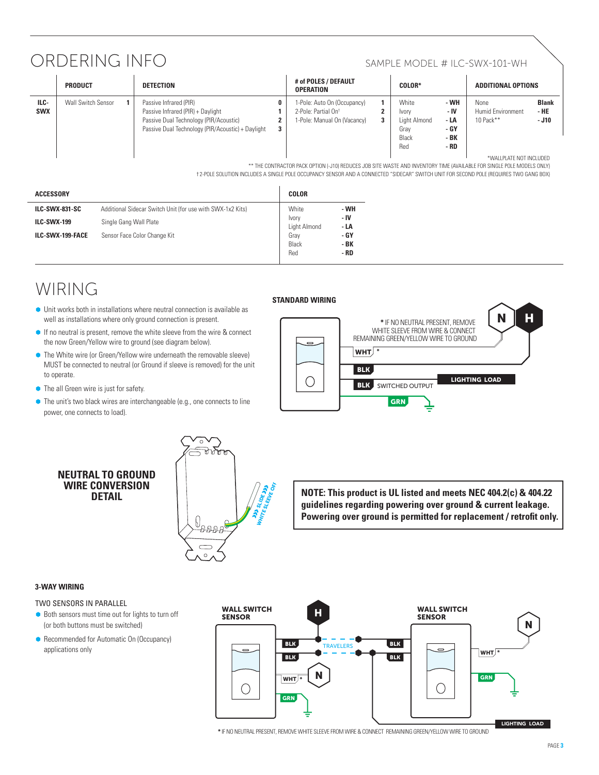# ORDERING INFO SAMPLE MODEL # ILC-SWX-101-WH

|                    | <b>PRODUCT</b>            | <b>DETECTION</b>                                                                                                                                           | # of POLES / DEFAULT<br><b>OPERATION</b>                                                                | <b>COLOR*</b>                                                                                                 | <b>ADDITIONAL OPTIONS</b>                                                                                                            |
|--------------------|---------------------------|------------------------------------------------------------------------------------------------------------------------------------------------------------|---------------------------------------------------------------------------------------------------------|---------------------------------------------------------------------------------------------------------------|--------------------------------------------------------------------------------------------------------------------------------------|
| ILC-<br><b>SWX</b> | <b>Wall Switch Sensor</b> | Passive Infrared (PIR)<br>Passive Infrared (PIR) + Daylight<br>Passive Dual Technology (PIR/Acoustic)<br>Passive Dual Technology (PIR/Acoustic) + Daylight | 1-Pole: Auto On (Occupancy)<br>2-Pole: Partial On <sup>+</sup><br>1-Pole: Manual On (Vacancy)<br>3<br>3 | - WH<br>White<br>- IV<br><b>Ivory</b><br>- LA<br>Light Almond<br>- GY<br>Grav<br>- BK<br>Black<br>Red<br>- RD | <b>Blank</b><br><b>None</b><br><b>Humid Environment</b><br>- HE<br>10 Pack **<br>$-$ J10<br><b><i>ELAIALLOLATE MOT INOLLIDED</i></b> |

\*Wallplate not included

\*\* The Contractor Pack option (-J10) reduces job site waste and inventory time (AVAILABLE FOR SINGLE POLE MODELS ONLY)

† 2-Pole solution includes a single pole occupancy sensor and a connected "sidecar" switch unit for second pole (requires two gang box)

| <b>ACCESSORY</b>      |                                                            | <b>COLOR</b>          |                       |
|-----------------------|------------------------------------------------------------|-----------------------|-----------------------|
| <b>ILC-SWX-831-SC</b> | Additional Sidecar Switch Unit (for use with SWX-1x2 Kits) | White                 | - WH<br>- IV<br>$-LA$ |
| <b>ILC-SWX-199</b>    | Single Gang Wall Plate                                     | Ivory<br>Light Almond |                       |
| ILC-SWX-199-FACE      | Sensor Face Color Change Kit                               | Grav<br>Black<br>Red  | - GY<br>- BK<br>- RD  |

# WIRING

- well as installations where only ground connection is present.  $\bullet$  Unit works both in installations where neutral connection is available as
- **If no neutral is present, remove the white sleeve from the wire & connect** the now Green/Yellow wire to ground (see diagram below).
- MUST be connected to neutral (or Ground if sleeve is removed) for the unit  $\bullet$  The White wire (or Green/Yellow wire underneath the removable sleeve) to operate.
- $\bullet$  The all Green wire is just for safety.
- $\bullet$  The unit's two black wires are interchangeable (e.g., one connects to line power, one connects to load).

### **Standard Wiring**



### **Neutral to Ground WIRE CONVERSION DETAIL**



**NOTE: This product is UL listed and meets NEC 404.2(c) & 404.22 guidelines regarding powering over ground & current leakage. Powering over ground is permitted for replacement / retrofit only.**

### **3-Way Wiring**

### Two sensors in parallel

- $\bullet$  Both sensors must time out for lights to turn off (or both buttons must be switched)
- Recommended for Automatic On (Occupancy) applications only



**\*** IF NO NEUTRAL PRESENT, REMOVE WHITE SLEEVE FROM WIRE & CONNECT REMAINING GREEN/YELLOW WIRE TO GROUND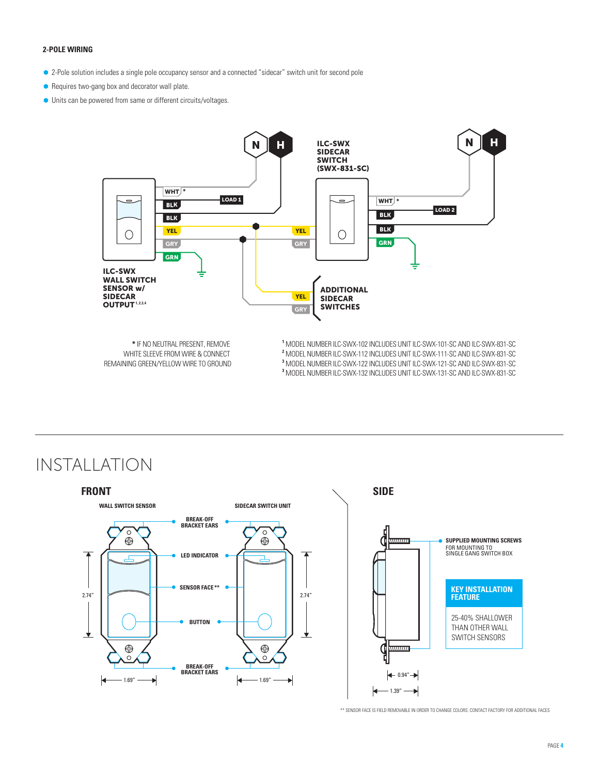### **2-Pole Wiring**

- Ã 2-Pole solution includes a single pole occupancy sensor and a connected "sidecar" switch unit for second pole
- Requires two-gang box and decorator wall plate.
- 2-Pole Wiring  $\bullet$  Units can be powered from same or different circuits/voltages.



**\*** IF NO NEUTRAL PRESENT, REMOVE WHITE SLEEVE FROM WIRE & CONNECT REMAINING GREEN/YELLOW WIRE TO GROUND

**1** MODEL NUMBER ILC-SWX-102 INCLUDES UNIT ILC-SWX-101-SC AND ILC-SWX-831-SC **2** MODEL NUMBER ILC-SWX-112 INCLUDES UNIT ILC-SWX-111-SC AND ILC-SWX-831-SC **3** MODEL NUMBER ILC-SWX-122 INCLUDES UNIT ILC-SWX-121-SC AND ILC-SWX-831-SC

**3** MODEL NUMBER ILC-SWX-132 INCLUDES UNIT ILC-SWX-131-SC AND ILC-SWX-831-SC

Installation



\*\* SENSOR FACE IS FIELD REMOVABLE IN ORDER TO CHANGE COLORS. CONTACT FACTORY FOR ADDITIONAL FACES